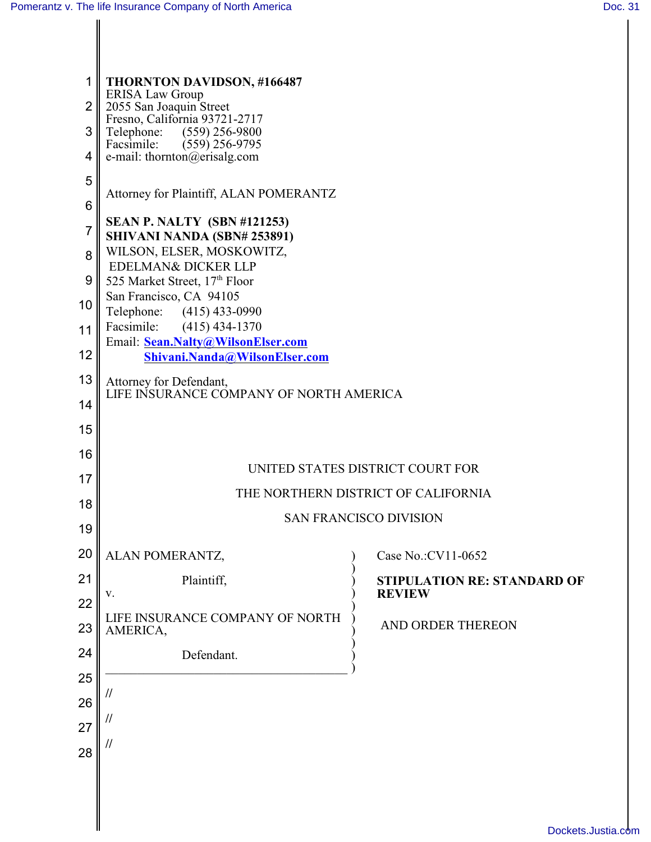| 1              | <b>THORNTON DAVIDSON, #166487</b>                                                  |                                    |
|----------------|------------------------------------------------------------------------------------|------------------------------------|
| $\overline{2}$ | <b>ERISA Law Group</b><br>2055 San Joaquin Street<br>Fresno, California 93721-2717 |                                    |
| 3              | Telephone: (559) 256-9800                                                          |                                    |
| 4              | Facsimile: (559) 256-9795<br>e-mail: thornton@erisalg.com                          |                                    |
| 5              |                                                                                    |                                    |
| 6              | Attorney for Plaintiff, ALAN POMERANTZ                                             |                                    |
| $\overline{7}$ | <b>SEAN P. NALTY (SBN #121253)</b>                                                 |                                    |
| 8              | SHIVANI NANDA (SBN# 253891)<br>WILSON, ELSER, MOSKOWITZ,                           |                                    |
|                | <b>EDELMAN&amp; DICKER LLP</b>                                                     |                                    |
| 9              | 525 Market Street, 17th Floor<br>San Francisco, CA 94105                           |                                    |
| 10             | Telephone: (415) 433-0990                                                          |                                    |
| 11             | Facsimile: (415) 434-1370<br>Email: Sean.Nalty@WilsonElser.com                     |                                    |
| 12             | Shivani.Nanda@WilsonElser.com                                                      |                                    |
| 13             | Attorney for Defendant,<br>LIFE INSURANCE COMPANY OF NORTH AMERICA                 |                                    |
| 14             |                                                                                    |                                    |
| 15             |                                                                                    |                                    |
| 16             |                                                                                    |                                    |
| 17             | UNITED STATES DISTRICT COURT FOR                                                   |                                    |
| 18             | THE NORTHERN DISTRICT OF CALIFORNIA                                                |                                    |
| 19             | <b>SAN FRANCISCO DIVISION</b>                                                      |                                    |
| 20             | ALAN POMERANTZ,                                                                    | Case No.: CV11-0652                |
| 21             | Plaintiff,                                                                         | <b>STIPULATION RE: STANDARD OF</b> |
| 22             | v.                                                                                 | <b>REVIEW</b>                      |
| 23             | LIFE INSURANCE COMPANY OF NORTH<br>AMERICA,                                        | AND ORDER THEREON                  |
| 24             | Defendant.                                                                         |                                    |
| 25             | $^{\prime\prime}$                                                                  |                                    |
| 26             |                                                                                    |                                    |
| 27             | $^{\prime\prime}$                                                                  |                                    |
| 28             | $^{\prime\prime}$                                                                  |                                    |
|                |                                                                                    |                                    |
|                |                                                                                    |                                    |
|                |                                                                                    | Dookoto luotio                     |